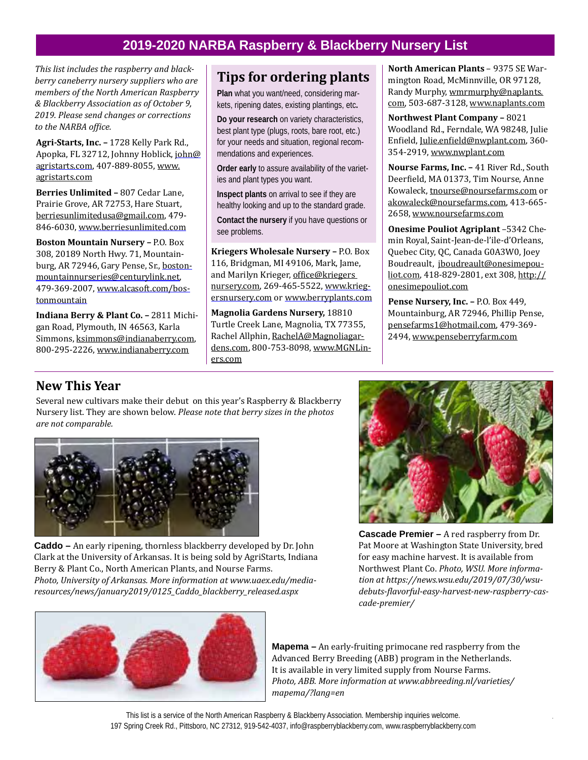## **2019-2020 NARBA Raspberry & Blackberry Nursery List**

*This list includes the raspberry and blackberry caneberry nursery suppliers who are members of the North American Raspberry & Blackberry Association as of October 9, 2019. Please send changes or corrections to the NARBA office.* 

**Agri-Starts, Inc. –** 1728 Kelly Park Rd., Apopka, FL 32712, Johnny Hoblick, john@ agristarts.com, 407-889-8055, www. agristarts.com

**Berries Unlimited –** 807 Cedar Lane, Prairie Grove, AR 72753, Hare Stuart, berriesunlimitedusa@gmail.com, 479- 846-6030, www.berriesunlimited.com

**Boston Mountain Nursery –** P.O. Box 308, 20189 North Hwy. 71, Mountainburg, AR 72946, Gary Pense, Sr., bostonmountainnurseries@centurylink.net, 479-369-2007, www.alcasoft.com/bostonmountain

**Indiana Berry & Plant Co. –** 2811 Michigan Road, Plymouth, IN 46563, Karla Simmons, ksimmons@indianaberry.com, 800-295-2226, www.indianaberry.com

## **Tips for ordering plants**

**Plan** what you want/need, considering markets, ripening dates, existing plantings, etc**.**

**Do your research** on variety characteristics, best plant type (plugs, roots, bare root, etc.) for your needs and situation, regional recommendations and experiences.

**Order early** to assure availability of the varieties and plant types you want.

**Inspect plants** on arrival to see if they are healthy looking and up to the standard grade.

**Contact the nursery** if you have questions or see problems.

**Kriegers Wholesale Nursery –** P.O. Box 116, Bridgman, MI 49106, Mark, Jame, and Marilyn Krieger, office@kriegers nursery.com, 269-465-5522, www.kriegersnursery.com or www.berryplants.com

**Magnolia Gardens Nursery,** 18810 Turtle Creek Lane, Magnolia, TX 77355, Rachel Allphin, RachelA@Magnoliagardens.com, 800-753-8098, www.MGNLiners.com

**North American Plants** – 9375 SE Warmington Road, McMinnville, OR 97128, Randy Murphy, wmrmurphy@naplants. com, 503-687-3128, www.naplants.com

**Northwest Plant Company –** 8021 Woodland Rd., Ferndale, WA 98248, Julie Enfield, Julie.enfield@nwplant.com, 360- 354-2919, www.nwplant.com

**Nourse Farms, Inc. –** 41 River Rd., South Deerfield, MA 01373, Tim Nourse, Anne Kowaleck, tnourse@noursefarms.com or akowaleck@noursefarms.com, 413-665- 2658, www.noursefarms.com

**Onesime Pouliot Agriplant** –5342 Chemin Royal, Saint-Jean-de-l'ile-d'Orleans, Quebec City, QC, Canada G0A3W0, Joey Boudreault, jboudreault@onesimepouliot.com, 418-829-2801, ext 308, http:// onesimepouliot.com

**Pense Nursery, Inc. –** P.O. Box 449, Mountainburg, AR 72946, Phillip Pense, pensefarms1@hotmail.com, 479-369- 2494, www.penseberryfarm.com

## **New This Year**

Several new cultivars make their debut on this year's Raspberry & Blackberry Nursery list. They are shown below. *Please note that berry sizes in the photos are not comparable.*



**Caddo –** An early ripening, thornless blackberry developed by Dr. John Clark at the University of Arkansas. It is being sold by AgriStarts, Indiana Berry & Plant Co., North American Plants, and Nourse Farms. *Photo, University of Arkansas. More information at www.uaex.edu/mediaresources/news/january2019/0125\_Caddo\_blackberry\_released.aspx*



**Cascade Premier –** A red raspberry from Dr. Pat Moore at Washington State University, bred for easy machine harvest. It is available from Northwest Plant Co. *Photo, WSU. More information at https://news.wsu.edu/2019/07/30/wsudebuts-flavorful-easy-harvest-new-raspberry-cascade-premier/*



**Mapema –** An early-fruiting primocane red raspberry from the Advanced Berry Breeding (ABB) program in the Netherlands. It is available in very limited supply from Nourse Farms. *Photo, ABB. More information at www.abbreeding.nl/varieties/ mapema/?lang=en*

197 Spring Creek Rd., Pittsboro, NC 27312, 919-542-4037, info@raspberryblackberry.com, www.raspberryblackberry.com This list is a service of the North American Raspberry & Blackberry Association. Membership inquiries welcome.